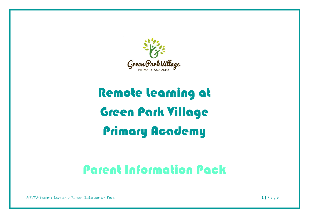

# Remote Learning at Green Park Village Primary Academy

## Parent Information Pack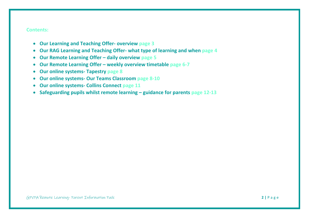### **Contents:**

- **Our Learning and Teaching Offer- overview page 3**
- **Our RAG Learning and Teaching Offer- what type of learning and when page 4**
- **Our Remote Learning Offer – daily overview page 5**
- **Our Remote Learning Offer – weekly overview timetable page 6-7**
- **Our online systems- Tapestry page 8**
- **Our online systems- Our Teams Classroom page 8-10**
- **Our online systems- Collins Connect page 11**
- **Safeguarding pupils whilst remote learning – guidance for parents page 12-13**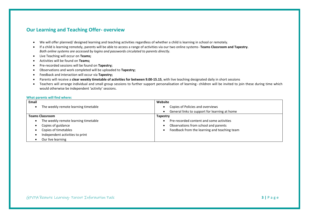### **Our Learning and Teaching Offer- overview**

- We will offer planned/ designed learning and teaching activities regardless of whether a child is learning in school or remotely.
- If a child is learning remotely, parents will be able to access a range of activities via our two online systems- **Teams Classroom and Tapestry**. *Both online systems are accessed by logins and passwords circulated to parents directly.*
- Live Teaching will occur on **Teams;**
- Activities will be found on **Teams;**
- Pre-recorded sessions will be found on **Tapestry;**
- Observations and work completed will be uploaded to **Tapestry;**
- Feedback and interaction will occur via **Tapestry;**
- Parents will receive a **clear weekly timetable of activities for between 9.00-15.15**, with live teaching designated daily in short sessions
- Teachers will arrange individual and small group sessions to further support personalisation of learning- children will be invited to join these during time which would otherwise be independent 'activity' sessions.

### **What parents will find where:**

| Email                                     | Website                                       |
|-------------------------------------------|-----------------------------------------------|
| The weekly remote learning timetable      | Copies of Policies and overviews              |
|                                           | General links to support for learning at home |
| <b>Teams Classroom</b>                    | <b>Tapestry</b>                               |
| The weekly remote learning timetable<br>٠ | Pre-recorded content and some activities      |
| Copies of guidance<br>٠                   | Observations from school and parents          |
| Copies of timetables<br>٠                 | Feedback from the learning and teaching team  |
| Independent activities to print           |                                               |
| Our live learning                         |                                               |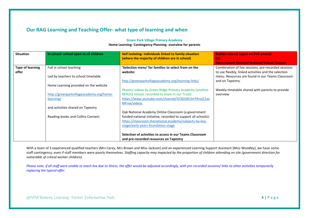### **Our RAG Learning and Teaching Offer- what type of learning and when**

| <b>Situation</b>                 | In school- school open to all children                                                         | Self-isolating-individuals linked to family situation<br>(where the majority of children are in school)                                                                                                              | <b>Bubble closure (upon on PHE advice)</b><br>OR<br><b>Government Directed National School Closure</b>                                                                              |
|----------------------------------|------------------------------------------------------------------------------------------------|----------------------------------------------------------------------------------------------------------------------------------------------------------------------------------------------------------------------|-------------------------------------------------------------------------------------------------------------------------------------------------------------------------------------|
| <b>Type of learning</b><br>offer | Full in school teaching<br>Led by teachers to school timetable                                 | 'Selection menu' for families to select from on the<br>website:<br>http://greenparkvillageacademy.org/learning-links/                                                                                                | Combination of live sessions, pre-recorded sessions<br>to use flexibly, linked activities and the selection<br>menu. Resources are found in our Teams Classroom<br>and on Tapestry. |
|                                  | Home Learning provided on the website<br>http://greenparkvillageacademy.org/home-<br>learning/ | Phonics videos by Green Ridge Primary Academy (another<br>REAch2 school, recorded to share in our Trust):<br>https://www.youtube.com/channel/UC8Zd4CilrtYXrtyE2aa<br>MFnw/videos                                     | Weekly timetable shared with parents to provide<br>overview                                                                                                                         |
|                                  | and activities shared on Tapestry<br>Reading books and Collins Connect                         | Oak National Academy Online Classroom (a government<br>funded national initiative, recorded to support all schools):<br>https://classroom.thenational.academy/subjects-by-key-<br>stage/early-years-foundation-stage |                                                                                                                                                                                     |
|                                  |                                                                                                | Selection of activities to access in our Teams Classroom<br>and pre-recorded resources on Tapestry                                                                                                                   |                                                                                                                                                                                     |

### **Green Park Village Primary Academy Home Learning- Contingency Planning- overview for parents**

With a team of 3 experienced qualified teachers (Mrs Carey, Mrs Brown and Miss Jackson) and an experienced Learning Support Assistant (Miss Woodley), we have some staff contingency, even if staff members were poorly themselves*. Staffing capacity may impacted by the proportion of children attending on site (government direction for vulnerable of critical worker children).* 

*Please note, if all staff were unable to teach live due to illness, the offer would be adjusted accordingly, with pre-recorded sessions/ links to other activities temporarily replacing the typical offer.*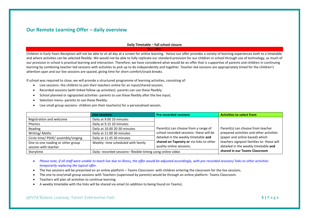### **Our Remote Learning Offer – daily overview**

### **Daily Timetable – full school closure**

**Our offer**

Children in Early Years Reception will not be able to sit all day at a screen for online learning. Hence our offer provides a variety of learning experiences both to a timetable and where activities can be selected flexibly. We would not be able to fully replicate our standard provision for our children in school through use of technology, as much of our provision in school is practical learning and interaction. Therefore, we have considered what would be an offer that is supportive of parents and children in continuing learning by combining teacher-led sessions with activities to pick up to do independently and together. Teacher-led sessions are appropriately timed for the children's attention span and our live sessions are spaced, giving time for short comfort/snack breaks.

If school was required to close, we will provide a structured programme of learning activities, consisting of:

- Live sessions- the children to join their teachers online for an input/shared session;
- Recorded sessions (with linked follow up activities)- parents can use these flexibly;
- School planned or signposted activities- parents to use these flexibly after the live input;
- Selection menu- parents to use these flexibly;
- Live small group sessions- children join their teacher(s) for a personalised session.

|                                     | Live sessions                     | <b>Pre-recorded sessions</b>                                | <b>Activities to select from</b>                                      |  |
|-------------------------------------|-----------------------------------|-------------------------------------------------------------|-----------------------------------------------------------------------|--|
| Registration and welcome            | Daily at 9.00 10 minutes          |                                                             |                                                                       |  |
| Phonics                             | Daily at 9.15 10 minutes          |                                                             |                                                                       |  |
| Reading                             | Daily at 10.00 20-30 minutes      | Parent(s) can choose from a range of                        | Parent(s) can choose from teacher                                     |  |
| Writing/Maths                       | Daily at 11.00 30 minutes         | school recorded sessions- these will be                     | prepared activities and other activities                              |  |
| Circle time/ PSHE/ assembly/singing | Daily at 11.45 30 minutes         | detailed in the weekly timetable and                        | (paper and online based) which                                        |  |
| One to one reading or other group   | Weekly-time scheduled with family | shared on Tapestry or via links to other                    | teachers signpost families to-these will                              |  |
| session with teacher                |                                   | quality online sessions.                                    | detailed in the weekly timetable and<br>shared in our Teams Classroom |  |
| Storytime                           |                                   | Daily- recorded sessions-flexible timing using online video |                                                                       |  |

- *Please note, if all staff were unable to teach live due to illness, the offer would be adjusted accordingly, with pre-recorded sessions/ links to other activities temporarily replacing the typical offer.*
- The live sessions will be presented on an online platform Teams Classroom- with children entering the classroom for the live sessions.
- The one to one/small group sessions with Teachers (supervised by parents) would be through an online platform- Teams Classroom.
- Teachers will plan all activities to continue learning.
- A weekly timetable with the links will be shared via email (in addition to being found on Teams).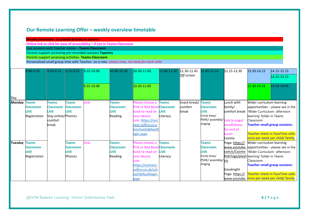### **Our Remote Learning Offer – weekly overview timetable**

**Weekly timetable- circulated directly to parents**

**Online link to click for ease of accessibility – if not in Teams Classroom** 

Live sessions with Teacher online – **Teams Classroom**

Parents support accessing pre-recorded sessions **Tapestry**

Parents support accessing activities **Teams Classroom**

Personalised small group time with Teacher- on a rota- *please note, not daily for each child*

|               | 9.00-9.10                                       | 9.10-9.15                                                                                  | $9.15 - 9.25$                                                     | $9.25 - 10.00$ | 10.00-10.30                                                | 10.30-11.00                                                                                                                                                        | 11.00-11.30 11.30-11.45  |                                  | 11.45-12.15                                                                                                 | 12.15-13.30                                                                                                                                   | 13.30-14.15                                                         | 14.15-15.15                                                                                                                                                                |
|---------------|-------------------------------------------------|--------------------------------------------------------------------------------------------|-------------------------------------------------------------------|----------------|------------------------------------------------------------|--------------------------------------------------------------------------------------------------------------------------------------------------------------------|--------------------------|----------------------------------|-------------------------------------------------------------------------------------------------------------|-----------------------------------------------------------------------------------------------------------------------------------------------|---------------------------------------------------------------------|----------------------------------------------------------------------------------------------------------------------------------------------------------------------------|
|               |                                                 |                                                                                            |                                                                   |                |                                                            |                                                                                                                                                                    |                          | <b>Off screen</b>                |                                                                                                             |                                                                                                                                               |                                                                     | 14.15-15.15                                                                                                                                                                |
|               |                                                 |                                                                                            |                                                                   | $9.25 - 10.00$ |                                                            | 10.30-11.00                                                                                                                                                        |                          |                                  |                                                                                                             |                                                                                                                                               | 13.30-14.15                                                         | 14.15-14.45                                                                                                                                                                |
| Day           |                                                 |                                                                                            |                                                                   |                |                                                            |                                                                                                                                                                    |                          |                                  |                                                                                                             |                                                                                                                                               |                                                                     |                                                                                                                                                                            |
| Monday Teams  | <b>Classroom</b><br><b>LIVE</b><br>Registration | <b>Teams</b><br><b>Classroom</b><br><b>LIVE</b><br>Stay online/Phonics<br>comfort<br>break | <b>Teams</b><br><b>Classroom</b><br><b>LIVE</b>                   | .ink:          | <b>Teams</b><br><b>Classroom</b><br><b>LIVE</b><br>Reading | lease choose a<br>Pink or Red Band Classroom<br>book to read on LIVE<br>your device.<br>Link: https://con<br>nect.collins.co.u<br>ogin.aspx                        | <b>Teams</b><br>Literacy | Snack break/<br>comfort<br>break | <b>Teams</b><br><b>Classroom</b><br><b>LIVE</b><br>Circle time/<br>PSHE/ assembly/ Link to yoga/<br>singing | Lunch with<br>family/<br>comfort break V Wider Curriculum- afternoon<br>mindfulness<br>for end of<br>unch:<br>Cosmic                          | Wider curriculum learning<br>learning' folder in Teams<br>Classroom | opportunities - please see in the<br><b>Teacher small group sessions:</b><br><b>Teacher check in FaceTime calls-</b><br>once per week per child/ family                    |
| Tuesday Teams | <b>Classroom</b><br><b>LIVE</b><br>Registration |                                                                                            | <b>Teams</b><br><b>Classroom</b><br><b>LIVE</b><br><b>Phonics</b> | Link:          | <b>Teams</b><br><b>Classroom</b><br><b>LIVE</b><br>Reading | lease choose a<br>Pink or Red Band Classroom<br>book to read on LIVE<br>vour device.<br>ink:<br>https://connect.<br>collins.co.uk/sch<br>ool/defaultlogin.<br>aspx | <b>Teams</b><br>Literacy |                                  | <b>Teams</b><br><b>Classroom</b><br><b>LIVE</b><br>Circle time/<br>PSHE/ assembly/ sts<br>singing           | Yoga: https://<br>com/c/Cosmic Wider Curriculum- afternoon<br>KidsYoga/playli learning' folder in Teams<br>Goodnight<br>Yoga: <u>https://</u> | Wider curriculum learning<br>Classroom                              | www.youtube. opportunities - please see in the<br><b>Teacher small group sessions:</b><br>Teacher check in FaceTime calls-<br>www.youtube. once per week per child/ family |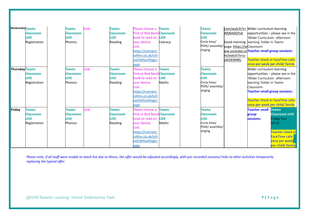| <b>Wednesday Teams</b> | <b>Classroom</b><br><b>LIVE</b><br>Registration                 | <b>Teams</b><br><b>Classroom</b><br><b>LIVE</b><br><b>Phonics</b> | Link: | <b>Teams</b><br><b>Classroom</b><br><b>LIVE</b><br>Reading | Please choose a<br><b>Pink or Red Band</b><br>book to read on<br>our device.<br>$ink+$<br>https://connect.<br>collins.co.uk/sch                                                              | <b>Teams</b><br>d Classroom<br><b>LIVE</b><br>Literacy | <b>Teams</b><br><b>Classroom</b><br><b>LIVE</b><br>Circle time/<br>singing                    | com/watch?v= Wider curriculum learning<br>4lfjNAXGPzA<br>Good morning learning' folder in Teams<br>PSHE/ assembly/ <sub>VOga: https://wClassroom</sub><br>ww.youtube.coTeacher small group sessions:<br>m/watch?v=u- | 'Wider Curriculum- afternoon                                                                                                                | opportunities - please see in the                                                                                                                                               |
|------------------------|-----------------------------------------------------------------|-------------------------------------------------------------------|-------|------------------------------------------------------------|----------------------------------------------------------------------------------------------------------------------------------------------------------------------------------------------|--------------------------------------------------------|-----------------------------------------------------------------------------------------------|----------------------------------------------------------------------------------------------------------------------------------------------------------------------------------------------------------------------|---------------------------------------------------------------------------------------------------------------------------------------------|---------------------------------------------------------------------------------------------------------------------------------------------------------------------------------|
| Thursday Teams         | <b>Classroom</b><br><b>LIVE</b><br>Registration                 | <b>Teams</b><br><b>Classroom</b><br><b>LIVE</b><br>Phonics        | Link: | <b>Teams</b><br><b>Classroom</b><br><b>LIVE</b><br>Reading | ool/defaultlogin.<br>aspx<br>Please choose a<br>Pink or Red Band Classroom<br>book to read on<br>vour device.<br>.ink:<br>https://connect.<br>collins.co.uk/sch<br>ool/defaultlogin.<br>aspx | <b>Teams</b><br><b>LIVE</b><br>Maths                   | <b>Teams</b><br><b>Classroom</b><br><b>LIVE</b><br>Circle time/<br>PSHE/ assembly/<br>singing | a4iOERMRs                                                                                                                                                                                                            | Wider curriculum learning<br>'Wider Curriculum- afternoon<br>learning' folder in Teams<br>Classroom<br><b>Teacher small group sessions:</b> | Teacher check in FaceTime calls-<br>once per week per child/ family<br>opportunities - please see in the<br>Teacher check in FaceTime calls-<br>once per week per child/ family |
| Friday                 | <b>Teams</b><br><b>Classroom</b><br><b>LIVE</b><br>Registration | <b>Teams</b><br><b>Classroom</b><br><b>LIVE</b><br><b>Phonics</b> | Link: | <b>Teams</b><br><b>Classroom</b><br><b>LIVE</b><br>Reading | Please choose a<br>Pink or Red Band Classroom<br>book to read on<br>your device.<br>ink:<br>https://connect.<br>collins.co.uk/sch<br>ool/defaultlogin.<br>aspx                               | <b>Teams</b><br><b>LIVE</b><br>Maths                   | <b>Teams</b><br><b>Classroom</b><br><b>LIVE</b><br>Circle time/<br>PSHE/ assembly/<br>singing |                                                                                                                                                                                                                      | <b>Teacher small</b><br>group<br>sessions:                                                                                                  | <b>Teams</b><br><b>Classroom LIVE</b><br><b>Friday Fun</b><br>14.15<br><b>Teacher check in</b><br><b>FaceTime calls-</b><br>once per week<br>per child/ family                  |

*Please note, if all staff were unable to teach live due to illness, the offer would be adjusted accordingly, with pre-recorded sessions/ links to other activities temporarily replacing the typical offer.*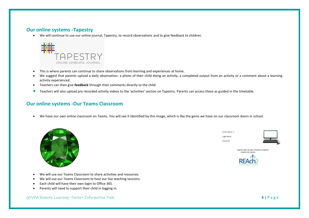### **Our online systems -Tapestry**

• We will continue to use our online journal, Tapestry, to record observations and to give feedback to children.



- This is where parents can continue to share observations from learning and experiences at home.
- We suggest that parents upload a daily observation- a photo of their child doing an activity, a completed output from an activity or a comment about a learning activity experienced.
- Teachers can then give **feedback** through their comments directly to the child.
- Teachers will also upload pre recorded activity videos to the 'activities' section on Tapestry. Parents can access these as guided in the timetable.

### **Our online systems -Our Teams Classroom**

• We have our own online classroom on Teams. You will see it identified by this image, which is like the gems we have on our classroom doors in school.



- We will use our Teams Classroom to share activities and resources.
- We will use our Teams Classroom to host our live teaching sessions.
- Each child will have their own login to Office 365.
- Parents will need to support their child in logging in.

GPVPA Remote Learning- Parent Information Pack **8 |** P a g e

Child's Name Login Name Password

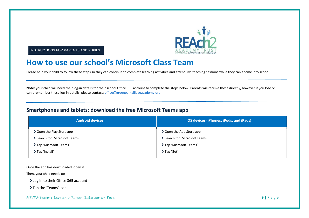

INSTRUCTIONS FOR PARENTS AND PUPILS

### **How to use our school's Microsoft Class Team**

Please help your child to follow these steps so they can continue to complete learning activities and attend live teaching sessions while they can't come into school.

**Note:** your child will need their log-in details for their school Office 365 account to complete the steps below. Parents will receive these directly, however if you lose or can't remember these log-in details, please contact: [office@greenparkvillageacademy.org](mailto:office@greenparkvillageacademy.org)

### **Smartphones and tablets: download the free Microsoft Teams app**

| <b>Android devices</b>         | iOS devices (iPhones, iPods, and iPads) |  |  |
|--------------------------------|-----------------------------------------|--|--|
| ▶ Open the Play Store app      | > Open the App Store app                |  |  |
| ' Search for 'Microsoft Teams' | Search for 'Microsoft Teams'            |  |  |
| Tap 'Microsoft Teams'          | > Tap 'Microsoft Teams'                 |  |  |
| Tap 'Install'                  | > Tap 'Get'                             |  |  |

Once the app has downloaded, open it.

Then, your child needs to:

> Log in to their Office 365 account

> Tap the 'Teams' icon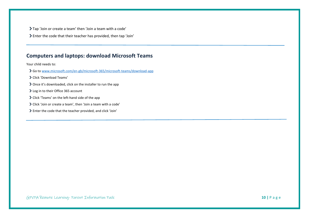Tap 'Join or create a team' then 'Join a team with a code'

Enter the code that their teacher has provided, then tap 'Join'

### **Computers and laptops: download Microsoft Teams**

Your child needs to:

- Go t[o www.microsoft.com/en-gb/microsoft-365/microsoft-teams/download-app](file:///C:/Users/My%20Drive/covid/www.microsoft.com/en-gb/microsoft-365/microsoft-teams/download-app)
- Click 'Download Teams'
- > Once it's downloaded, click on the installer to run the app
- > Log in to their Office 365 account
- Click 'Teams' on the left-hand side of the app
- Click 'Join or create a team', then 'Join a team with a code'
- Enter the code that the teacher provided, and click 'Join'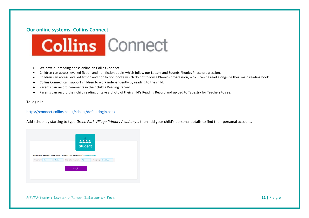### **Our online systems- Collins Connect**



- We have our reading books online on Collins Connect.
- Children can access levelled fiction and non fiction books which follow our Letters and Sounds Phonics Phase progression.
- Children can access levelled fiction and non fiction books which do not follow a Phonics progression, which can be read alongside their main reading book.
- Collins Connect can support children to work independently by reading to the child.
- Parents can record comments in their child's Reading Record.
- Parents can record their child reading or take a photo of their child's Reading Record and upload to Tapestry for Teachers to see.

To login in:

### <https://connect.collins.co.uk/school/defaultlogin.aspx>

Add school by starting to type *Green Park Village Primary Academy*… then add your child's personal details to find their personal account.

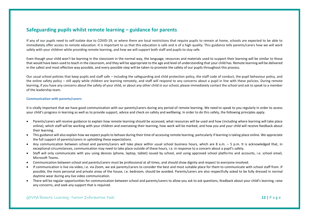### **Safeguarding pupils whilst remote learning – guidance for parents**

If any of our pupils need to self-isolate due to COVID-19, or where there are local restrictions that require pupils to remain at home, schools are expected to be able to immediately offer access to remote education. It is important to us that this education is safe and is of a high quality. This guidance tells parents/carers how we will work safely with your children while providing remote learning, and how we will support both staff and pupils to stay safe.

Even though your child won't be learning in the classroom in the normal way, the language, resources and materials used to support their learning will be similar to those that would have been used to teach in the classroom, and they will be appropriate to the age and level of understanding that your child has. Remote learning will be delivered in the safest and most effective way possible, and every possible step will be taken to promote the safety of our pupils throughout this process.

Our usual school policies that keep pupils and staff safe – including the safeguarding and child protection policy, the staff code of conduct, the pupil behaviour policy, and the online safety policy – still apply while children are learning remotely, and staff will respond to any concerns about a pupil in line with these policies. During remote learning, if you have any concerns about the safety of your child, or about any other child in our school, please immediately contact the school and ask to speak to a member of the leadership team.

### **Communication with parents/carers**

It is vitally important that we have good communication with our parents/carers during any period of remote learning. We need to speak to you regularly in order to assess your child's progress in learning as well as to provide support, advice and check on safety and wellbeing. In order to do this safely, the following principles apply.

- Parents/carers will receive guidance to explain how remote learning should be accessed, what resources will be used and how (including where learning will take place online), which staff will be working with your children and overseeing their learning, how work will be marked, and how you and your child will receive feedback about their learning.
- This guidance will also explain how we expect pupils to behave during their time of accessing remote learning, particularly if learning is taking place online. We appreciate the full support of parents/carers in upholding these expectations.
- Any communication between school and parents/carers will take place within usual school business hours, which are 8 a.m. 5 p.m. It is acknowledged that, in exceptional circumstances, communication may need to take place outside of these hours, i.e. in response to a concern about a pupil's safety.
- Staff will only communicate with you using devices (phone, laptop, tablet) issued by school, and using approved school platforms and accounts, i.e. school email, Microsoft Teams.
- Communication between school and parents/carers must be professional at all times, and should show dignity and respect to everyone involved.
- If communication is live via video, i.e. via Zoom, we ask parents/carers to consider the best and most suitable place for them to communicate with school staff from. If possible, the more personal and private areas of the house, i.e. bedroom, should be avoided. Parents/carers are also respectfully asked to be fully dressed in normal daytime wear during any live video communication.
- There will be regular opportunities for communication between school and parents/carers to allow you ask to ask questions, feedback about your child's learning, raise any concerns, and seek any support that is required.